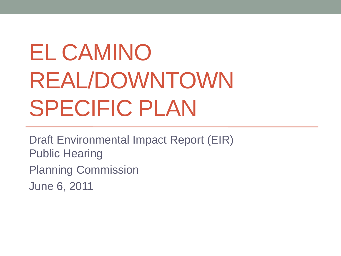# EL CAMINO REAL/DOWNTOWN SPECIFIC PLAN

Draft Environmental Impact Report (EIR) Public Hearing Planning Commission June 6, 2011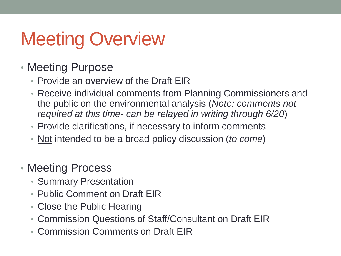## Meeting Overview

- Meeting Purpose
	- Provide an overview of the Draft EIR
	- Receive individual comments from Planning Commissioners and the public on the environmental analysis (*Note: comments not required at this time- can be relayed in writing through 6/20*)
	- Provide clarifications, if necessary to inform comments
	- Not intended to be a broad policy discussion (*to come*)
- Meeting Process
	- Summary Presentation
	- Public Comment on Draft EIR
	- Close the Public Hearing
	- Commission Questions of Staff/Consultant on Draft EIR
	- Commission Comments on Draft EIR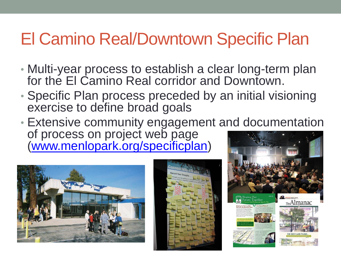### El Camino Real/Downtown Specific Plan

- Multi-year process to establish a clear long-term plan for the El Camino Real corridor and Downtown.
- Specific Plan process preceded by an initial visioning exercise to define broad goals
- Extensive community engagement and documentation of process on project web page [\(www.menlopark.org/specificplan](http://www.menlopark.org/specificplan))





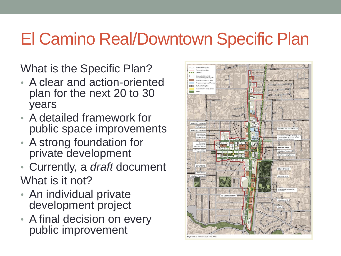### El Camino Real/Downtown Specific Plan

What is the Specific Plan?

- A clear and action-oriented plan for the next 20 to 30 years
- A detailed framework for public space improvements
- A strong foundation for private development
- Currently, a *draft* document What is it not?
- An individual private development project
- A final decision on every public improvement

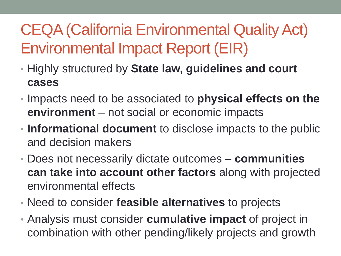#### CEQA (California Environmental Quality Act) Environmental Impact Report (EIR)

- Highly structured by **State law, guidelines and court cases**
- Impacts need to be associated to **physical effects on the environment** – not social or economic impacts
- **Informational document** to disclose impacts to the public and decision makers
- Does not necessarily dictate outcomes **communities can take into account other factors** along with projected environmental effects
- Need to consider **feasible alternatives** to projects
- Analysis must consider **cumulative impact** of project in combination with other pending/likely projects and growth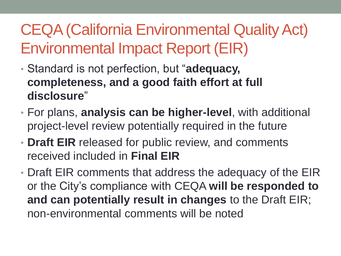#### CEQA (California Environmental Quality Act) Environmental Impact Report (EIR)

- Standard is not perfection, but "**adequacy, completeness, and a good faith effort at full disclosure**"
- For plans, **analysis can be higher-level**, with additional project-level review potentially required in the future
- **Draft EIR** released for public review, and comments received included in **Final EIR**
- Draft EIR comments that address the adequacy of the EIR or the City's compliance with CEQA **will be responded to and can potentially result in changes** to the Draft EIR; non-environmental comments will be noted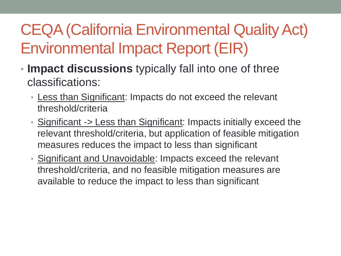#### CEQA (California Environmental Quality Act) Environmental Impact Report (EIR)

- **Impact discussions** typically fall into one of three classifications:
	- Less than Significant: Impacts do not exceed the relevant threshold/criteria
	- Significant -> Less than Significant: Impacts initially exceed the relevant threshold/criteria, but application of feasible mitigation measures reduces the impact to less than significant
	- Significant and Unavoidable: Impacts exceed the relevant threshold/criteria, and no feasible mitigation measures are available to reduce the impact to less than significant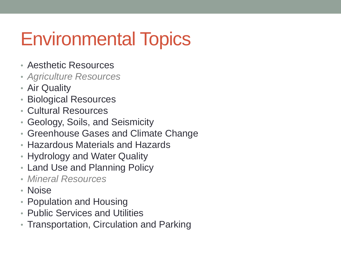### Environmental Topics

- Aesthetic Resources
- *Agriculture Resources*
- Air Quality
- Biological Resources
- Cultural Resources
- Geology, Soils, and Seismicity
- Greenhouse Gases and Climate Change
- Hazardous Materials and Hazards
- Hydrology and Water Quality
- Land Use and Planning Policy
- *Mineral Resources*
- Noise
- Population and Housing
- Public Services and Utilities
- Transportation, Circulation and Parking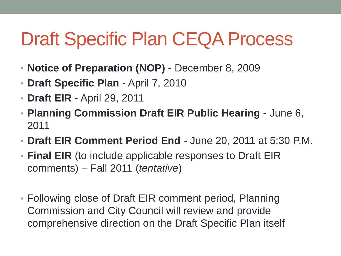### Draft Specific Plan CEQA Process

- **Notice of Preparation (NOP)** December 8, 2009
- **Draft Specific Plan** April 7, 2010
- **Draft EIR**  April 29, 2011
- **Planning Commission Draft EIR Public Hearing**  June 6, 2011
- **Draft EIR Comment Period End**  June 20, 2011 at 5:30 P.M.
- **Final EIR** (to include applicable responses to Draft EIR comments) – Fall 2011 (*tentative*)
- Following close of Draft EIR comment period, Planning Commission and City Council will review and provide comprehensive direction on the Draft Specific Plan itself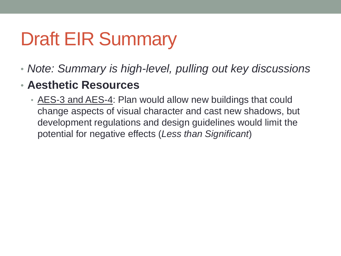- *Note: Summary is high-level, pulling out key discussions*
- **Aesthetic Resources**
	- AES-3 and AES-4: Plan would allow new buildings that could change aspects of visual character and cast new shadows, but development regulations and design guidelines would limit the potential for negative effects (*Less than Significant*)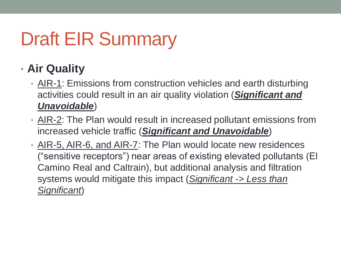#### • **Air Quality**

- AIR-1: Emissions from construction vehicles and earth disturbing activities could result in an air quality violation (*Significant and Unavoidable*)
- AIR-2: The Plan would result in increased pollutant emissions from increased vehicle traffic (*Significant and Unavoidable*)
- AIR-5, AIR-6, and AIR-7: The Plan would locate new residences ("sensitive receptors") near areas of existing elevated pollutants (El Camino Real and Caltrain), but additional analysis and filtration systems would mitigate this impact (*Significant -> Less than Significant*)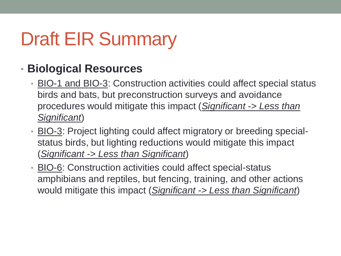#### • **Biological Resources**

- BIO-1 and BIO-3: Construction activities could affect special status birds and bats, but preconstruction surveys and avoidance procedures would mitigate this impact (*Significant -> Less than Significant*)
- BIO-3: Project lighting could affect migratory or breeding specialstatus birds, but lighting reductions would mitigate this impact (*Significant -> Less than Significant*)
- BIO-6: Construction activities could affect special-status amphibians and reptiles, but fencing, training, and other actions would mitigate this impact (*Significant -> Less than Significant*)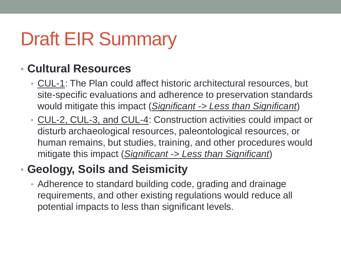#### • **Cultural Resources**

- CUL-1: The Plan could affect historic architectural resources, but site-specific evaluations and adherence to preservation standards would mitigate this impact (*Significant -> Less than Significant*)
- CUL-2, CUL-3, and CUL-4: Construction activities could impact or disturb archaeological resources, paleontological resources, or human remains, but studies, training, and other procedures would mitigate this impact (*Significant -> Less than Significant*)

#### • **Geology, Soils and Seismicity**

• Adherence to standard building code, grading and drainage requirements, and other existing regulations would reduce all potential impacts to less than significant levels.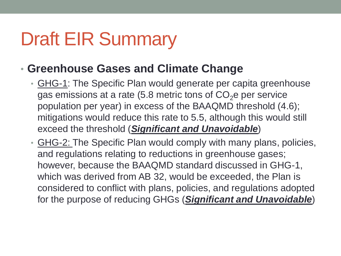#### • **Greenhouse Gases and Climate Change**

- GHG-1: The Specific Plan would generate per capita greenhouse gas emissions at a rate (5.8 metric tons of  $CO<sub>2</sub>$ e per service population per year) in excess of the BAAQMD threshold (4.6); mitigations would reduce this rate to 5.5, although this would still exceed the threshold (*Significant and Unavoidable*)
- GHG-2: The Specific Plan would comply with many plans, policies, and regulations relating to reductions in greenhouse gases; however, because the BAAQMD standard discussed in GHG-1, which was derived from AB 32, would be exceeded, the Plan is considered to conflict with plans, policies, and regulations adopted for the purpose of reducing GHGs (*Significant and Unavoidable*)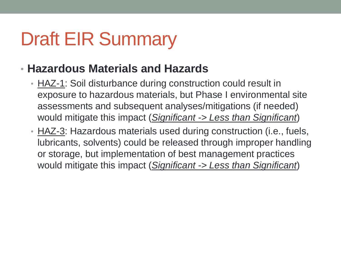- **Hazardous Materials and Hazards**
	- HAZ-1: Soil disturbance during construction could result in exposure to hazardous materials, but Phase I environmental site assessments and subsequent analyses/mitigations (if needed) would mitigate this impact (*Significant -> Less than Significant*)
	- HAZ-3: Hazardous materials used during construction (i.e., fuels, lubricants, solvents) could be released through improper handling or storage, but implementation of best management practices would mitigate this impact (*Significant -> Less than Significant*)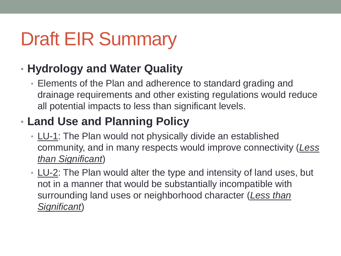#### • **Hydrology and Water Quality**

• Elements of the Plan and adherence to standard grading and drainage requirements and other existing regulations would reduce all potential impacts to less than significant levels.

#### • **Land Use and Planning Policy**

- LU-1: The Plan would not physically divide an established community, and in many respects would improve connectivity (*Less than Significant*)
- LU-2: The Plan would alter the type and intensity of land uses, but not in a manner that would be substantially incompatible with surrounding land uses or neighborhood character (*Less than Significant*)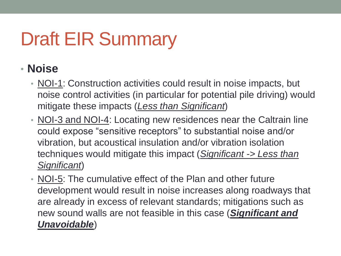#### • **Noise**

- NOI-1: Construction activities could result in noise impacts, but noise control activities (in particular for potential pile driving) would mitigate these impacts (*Less than Significant*)
- NOI-3 and NOI-4: Locating new residences near the Caltrain line could expose "sensitive receptors" to substantial noise and/or vibration, but acoustical insulation and/or vibration isolation techniques would mitigate this impact (*Significant -> Less than Significant*)
- NOI-5: The cumulative effect of the Plan and other future development would result in noise increases along roadways that are already in excess of relevant standards; mitigations such as new sound walls are not feasible in this case (*Significant and Unavoidable*)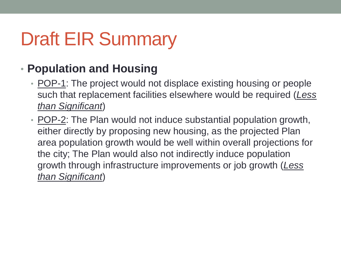#### • **Population and Housing**

- POP-1: The project would not displace existing housing or people such that replacement facilities elsewhere would be required (*Less than Significant*)
- POP-2: The Plan would not induce substantial population growth, either directly by proposing new housing, as the projected Plan area population growth would be well within overall projections for the city; The Plan would also not indirectly induce population growth through infrastructure improvements or job growth (*Less than Significant*)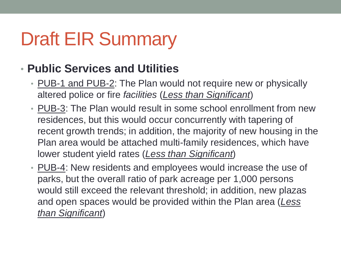#### • **Public Services and Utilities**

- PUB-1 and PUB-2: The Plan would not require new or physically altered police or fire *facilities* (*Less than Significant*)
- PUB-3: The Plan would result in some school enrollment from new residences, but this would occur concurrently with tapering of recent growth trends; in addition, the majority of new housing in the Plan area would be attached multi-family residences, which have lower student yield rates (*Less than Significant*)
- PUB-4: New residents and employees would increase the use of parks, but the overall ratio of park acreage per 1,000 persons would still exceed the relevant threshold; in addition, new plazas and open spaces would be provided within the Plan area (*Less than Significant*)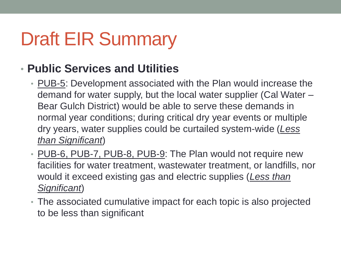#### • **Public Services and Utilities**

- PUB-5: Development associated with the Plan would increase the demand for water supply, but the local water supplier (Cal Water – Bear Gulch District) would be able to serve these demands in normal year conditions; during critical dry year events or multiple dry years, water supplies could be curtailed system-wide (*Less than Significant*)
- PUB-6, PUB-7, PUB-8, PUB-9: The Plan would not require new facilities for water treatment, wastewater treatment, or landfills, nor would it exceed existing gas and electric supplies (*Less than Significant*)
- The associated cumulative impact for each topic is also projected to be less than significant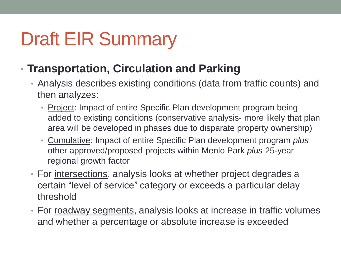- **Transportation, Circulation and Parking**
	- Analysis describes existing conditions (data from traffic counts) and then analyzes:
		- Project: Impact of entire Specific Plan development program being added to existing conditions (conservative analysis- more likely that plan area will be developed in phases due to disparate property ownership)
		- Cumulative: Impact of entire Specific Plan development program *plus*  other approved/proposed projects within Menlo Park *plus* 25-year regional growth factor
	- For intersections, analysis looks at whether project degrades a certain "level of service" category or exceeds a particular delay threshold
	- For roadway segments, analysis looks at increase in traffic volumes and whether a percentage or absolute increase is exceeded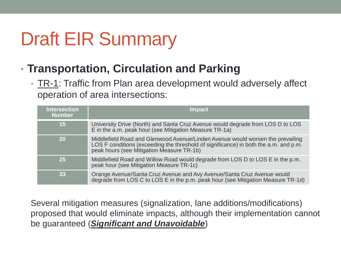- **Transportation, Circulation and Parking**
	- TR-1: Traffic from Plan area development would adversely affect operation of area intersections:

| <b>Intersection</b><br><b>Number</b> | <b>Impact</b>                                                                                                                                                                                                       |
|--------------------------------------|---------------------------------------------------------------------------------------------------------------------------------------------------------------------------------------------------------------------|
| 15                                   | University Drive (North) and Santa Cruz Avenue would degrade from LOS D to LOS<br>E in the a.m. peak hour (see Mitigation Measure TR-1a)                                                                            |
| <b>20</b>                            | Middlefield Road and Glenwood Avenue/Linden Avenue would worsen the prevailing<br>LOS F conditions (exceeding the threshold of significance) in both the a.m. and p.m.<br>peak hours (see Mitigation Measure TR-1b) |
| 25                                   | Middlefield Road and Willow Road would degrade from LOS D to LOS E in the p.m.<br>peak hour (see Mitigation Measure TR-1c)                                                                                          |
| 33                                   | Orange Avenue/Santa Cruz Avenue and Avy Avenue/Santa Cruz Avenue would<br>degrade from LOS C to LOS E in the p.m. peak hour (see Mitigation Measure TR-1d)                                                          |

Several mitigation measures (signalization, lane additions/modifications) proposed that would eliminate impacts, although their implementation cannot be guaranteed (*Significant and Unavoidable*)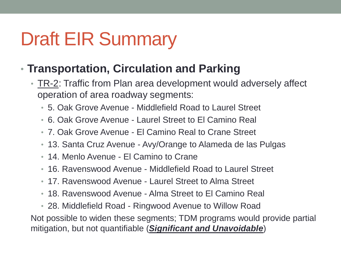#### • **Transportation, Circulation and Parking**

- TR-2: Traffic from Plan area development would adversely affect operation of area roadway segments:
	- 5. Oak Grove Avenue Middlefield Road to Laurel Street
	- 6. Oak Grove Avenue Laurel Street to El Camino Real
	- 7. Oak Grove Avenue El Camino Real to Crane Street
	- 13. Santa Cruz Avenue Avy/Orange to Alameda de las Pulgas
	- 14. Menlo Avenue El Camino to Crane
	- 16. Ravenswood Avenue Middlefield Road to Laurel Street
	- 17. Ravenswood Avenue Laurel Street to Alma Street
	- 18. Ravenswood Avenue Alma Street to El Camino Real

• 28. Middlefield Road - Ringwood Avenue to Willow Road Not possible to widen these segments; TDM programs would provide partial mitigation, but not quantifiable (*Significant and Unavoidable*)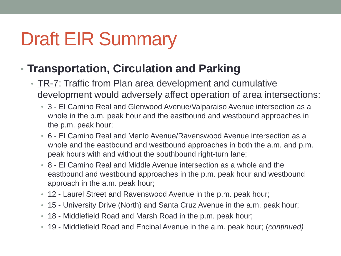#### • **Transportation, Circulation and Parking**

- TR-7: Traffic from Plan area development and cumulative development would adversely affect operation of area intersections:
	- 3 El Camino Real and Glenwood Avenue/Valparaiso Avenue intersection as a whole in the p.m. peak hour and the eastbound and westbound approaches in the p.m. peak hour;
	- 6 El Camino Real and Menlo Avenue/Ravenswood Avenue intersection as a whole and the eastbound and westbound approaches in both the a.m. and p.m. peak hours with and without the southbound right-turn lane;
	- 8 El Camino Real and Middle Avenue intersection as a whole and the eastbound and westbound approaches in the p.m. peak hour and westbound approach in the a.m. peak hour;
	- 12 Laurel Street and Ravenswood Avenue in the p.m. peak hour;
	- 15 University Drive (North) and Santa Cruz Avenue in the a.m. peak hour;
	- 18 Middlefield Road and Marsh Road in the p.m. peak hour;
	- 19 Middlefield Road and Encinal Avenue in the a.m. peak hour; (*continued)*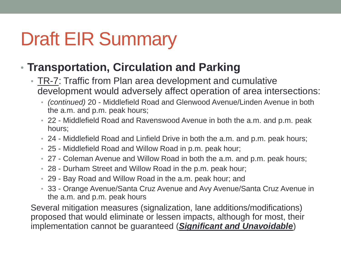#### • **Transportation, Circulation and Parking**

- TR-7: Traffic from Plan area development and cumulative development would adversely affect operation of area intersections:
	- *(continued)* 20 Middlefield Road and Glenwood Avenue/Linden Avenue in both the a.m. and p.m. peak hours;
	- 22 Middlefield Road and Ravenswood Avenue in both the a.m. and p.m. peak hours;
	- 24 Middlefield Road and Linfield Drive in both the a.m. and p.m. peak hours;
	- 25 Middlefield Road and Willow Road in p.m. peak hour;
	- 27 Coleman Avenue and Willow Road in both the a.m. and p.m. peak hours;
	- 28 Durham Street and Willow Road in the p.m. peak hour;
	- 29 Bay Road and Willow Road in the a.m. peak hour; and
	- 33 Orange Avenue/Santa Cruz Avenue and Avy Avenue/Santa Cruz Avenue in the a.m. and p.m. peak hours

Several mitigation measures (signalization, lane additions/modifications) proposed that would eliminate or lessen impacts, although for most, their implementation cannot be guaranteed (*Significant and Unavoidable*)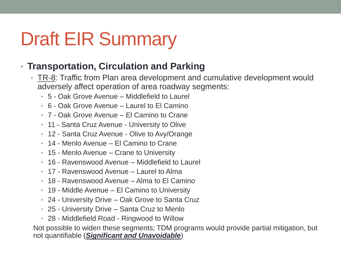#### • **Transportation, Circulation and Parking**

- TR-8: Traffic from Plan area development and cumulative development would adversely affect operation of area roadway segments:
	- 5 Oak Grove Avenue Middlefield to Laurel
	- 6 Oak Grove Avenue Laurel to El Camino
	- 7 Oak Grove Avenue El Camino to Crane
	- 11 Santa Cruz Avenue University to Olive
	- 12 Santa Cruz Avenue Olive to Avy/Orange
	- 14 Menlo Avenue El Camino to Crane
	- 15 Menlo Avenue Crane to University
	- 16 Ravenswood Avenue Middlefield to Laurel
	- 17 Ravenswood Avenue Laurel to Alma
	- 18 Ravenswood Avenue Alma to El Camino
	- 19 Middle Avenue El Camino to University
	- 24 University Drive Oak Grove to Santa Cruz
	- 25 University Drive Santa Cruz to Menlo
	- 28 Middlefield Road Ringwood to Willow

Not possible to widen these segments; TDM programs would provide partial mitigation, but not quantifiable (*Significant and Unavoidable*)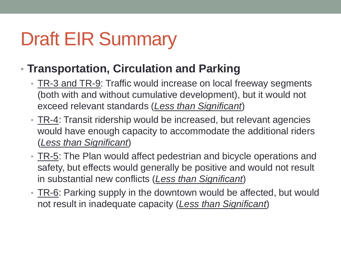#### • **Transportation, Circulation and Parking**

- TR-3 and TR-9: Traffic would increase on local freeway segments (both with and without cumulative development), but it would not exceed relevant standards (*Less than Significant*)
- TR-4: Transit ridership would be increased, but relevant agencies would have enough capacity to accommodate the additional riders (*Less than Significant*)
- TR-5: The Plan would affect pedestrian and bicycle operations and safety, but effects would generally be positive and would not result in substantial new conflicts (*Less than Significant*)
- TR-6: Parking supply in the downtown would be affected, but would not result in inadequate capacity (*Less than Significant*)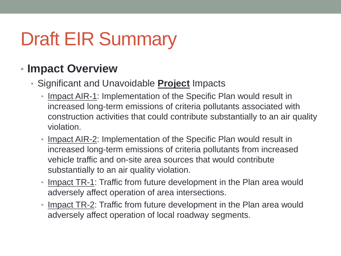#### • **Impact Overview**

- Significant and Unavoidable **Project** Impacts
	- Impact AIR-1: Implementation of the Specific Plan would result in increased long-term emissions of criteria pollutants associated with construction activities that could contribute substantially to an air quality violation.
	- Impact AIR-2: Implementation of the Specific Plan would result in increased long-term emissions of criteria pollutants from increased vehicle traffic and on-site area sources that would contribute substantially to an air quality violation.
	- Impact TR-1: Traffic from future development in the Plan area would adversely affect operation of area intersections.
	- Impact TR-2: Traffic from future development in the Plan area would adversely affect operation of local roadway segments.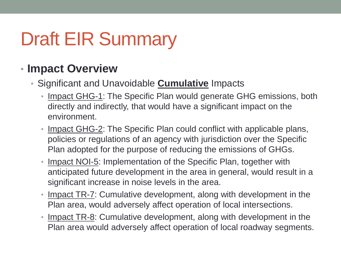#### • **Impact Overview**

#### • Significant and Unavoidable **Cumulative** Impacts

- Impact GHG-1: The Specific Plan would generate GHG emissions, both directly and indirectly, that would have a significant impact on the environment.
- Impact GHG-2: The Specific Plan could conflict with applicable plans, policies or regulations of an agency with jurisdiction over the Specific Plan adopted for the purpose of reducing the emissions of GHGs.
- Impact NOI-5: Implementation of the Specific Plan, together with anticipated future development in the area in general, would result in a significant increase in noise levels in the area.
- Impact TR-7: Cumulative development, along with development in the Plan area, would adversely affect operation of local intersections.
- Impact TR-8: Cumulative development, along with development in the Plan area would adversely affect operation of local roadway segments.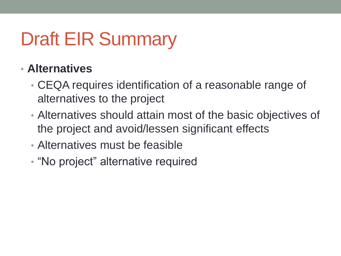#### • **Alternatives**

- CEQA requires identification of a reasonable range of alternatives to the project
- Alternatives should attain most of the basic objectives of the project and avoid/lessen significant effects
- Alternatives must be feasible
- "No project" alternative required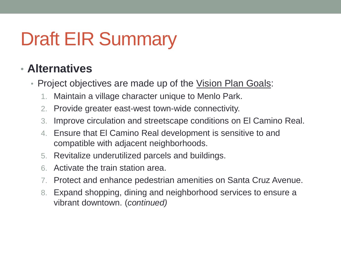#### • **Alternatives**

- Project objectives are made up of the Vision Plan Goals:
	- 1. Maintain a village character unique to Menlo Park.
	- 2. Provide greater east-west town-wide connectivity.
	- 3. Improve circulation and streetscape conditions on El Camino Real.
	- 4. Ensure that El Camino Real development is sensitive to and compatible with adjacent neighborhoods.
	- 5. Revitalize underutilized parcels and buildings.
	- 6. Activate the train station area.
	- 7. Protect and enhance pedestrian amenities on Santa Cruz Avenue.
	- 8. Expand shopping, dining and neighborhood services to ensure a vibrant downtown. (*continued)*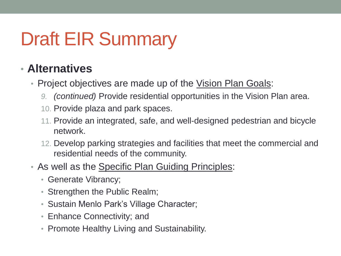#### • **Alternatives**

- Project objectives are made up of the Vision Plan Goals:
	- *9. (continued)* Provide residential opportunities in the Vision Plan area.
	- 10. Provide plaza and park spaces.
	- 11. Provide an integrated, safe, and well-designed pedestrian and bicycle network.
	- 12. Develop parking strategies and facilities that meet the commercial and residential needs of the community.
- As well as the Specific Plan Guiding Principles:
	- Generate Vibrancy;
	- Strengthen the Public Realm;
	- Sustain Menlo Park's Village Character;
	- Enhance Connectivity; and
	- Promote Healthy Living and Sustainability.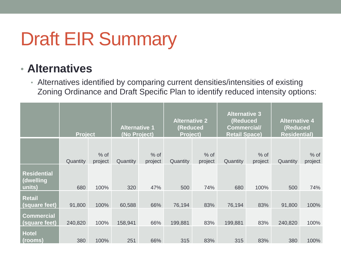#### • **Alternatives**

• Alternatives identified by comparing current densities/intensities of existing Zoning Ordinance and Draft Specific Plan to identify reduced intensity options:

|                                           | <b>Project</b> |                   | <b>Alternative 1</b><br>(No Project) |                   | <b>Alternative 2</b><br>(Reduced<br><b>Project)</b> |                   | <b>Alternative 3</b><br>(Reduced<br><b>Commercial/</b><br><b>Retail Space)</b> |                   | <b>Alternative 4</b><br>(Reduced<br><b>Residential)</b> |                   |
|-------------------------------------------|----------------|-------------------|--------------------------------------|-------------------|-----------------------------------------------------|-------------------|--------------------------------------------------------------------------------|-------------------|---------------------------------------------------------|-------------------|
|                                           | Quantity       | $%$ of<br>project | Quantity                             | $%$ of<br>project | Quantity                                            | $%$ of<br>project | Quantity                                                                       | $%$ of<br>project | Quantity                                                | $%$ of<br>project |
| <b>Residential</b><br>(dwelling<br>units) | 680            | 100%              | 320                                  | 47%               | 500                                                 | 74%               | 680                                                                            | 100%              | 500                                                     | 74%               |
| <b>Retail</b><br>(square feet)            | 91,800         | 100%              | 60,588                               | 66%               | 76,194                                              | 83%               | 76,194                                                                         | 83%               | 91,800                                                  | 100%              |
| <b>Commercial</b><br>(square feet)        | 240,820        | 100%              | 158,941                              | 66%               | 199,881                                             | 83%               | 199,881                                                                        | 83%               | 240,820                                                 | 100%              |
| <b>Hotel</b><br>(rooms)                   | 380            | 100%              | 251                                  | 66%               | 315                                                 | 83%               | 315                                                                            | 83%               | 380                                                     | 100%              |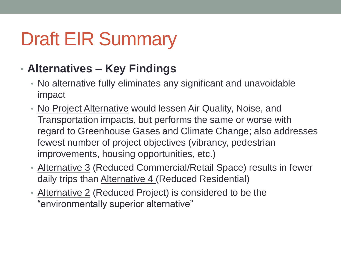#### • **Alternatives – Key Findings**

- No alternative fully eliminates any significant and unavoidable impact
- No Project Alternative would lessen Air Quality, Noise, and Transportation impacts, but performs the same or worse with regard to Greenhouse Gases and Climate Change; also addresses fewest number of project objectives (vibrancy, pedestrian improvements, housing opportunities, etc.)
- Alternative 3 (Reduced Commercial/Retail Space) results in fewer daily trips than Alternative 4 (Reduced Residential)
- Alternative 2 (Reduced Project) is considered to be the "environmentally superior alternative"